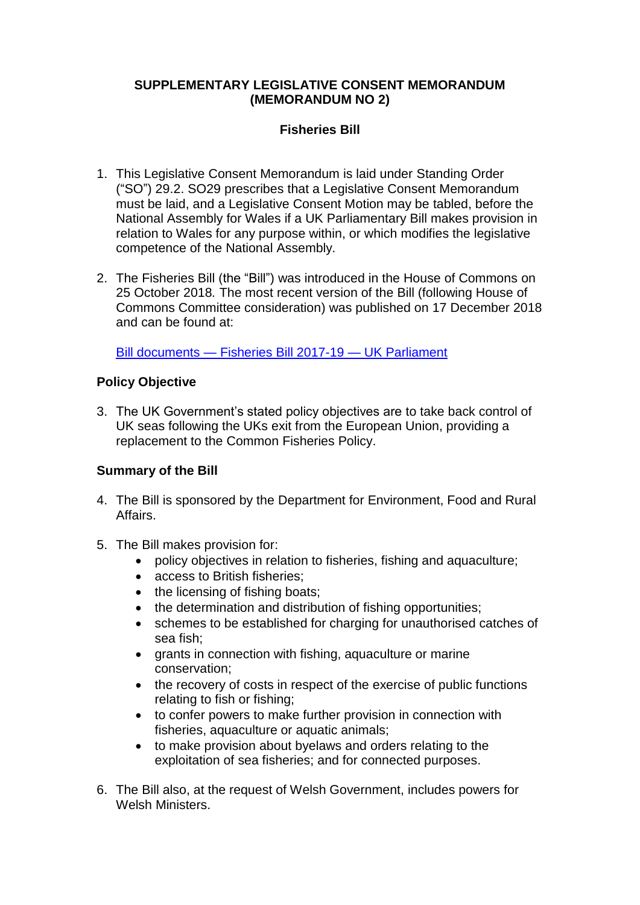## **SUPPLEMENTARY LEGISLATIVE CONSENT MEMORANDUM (MEMORANDUM NO 2)**

# **Fisheries Bill**

- 1. This Legislative Consent Memorandum is laid under Standing Order ("SO") 29.2. SO29 prescribes that a Legislative Consent Memorandum must be laid, and a Legislative Consent Motion may be tabled, before the National Assembly for Wales if a UK Parliamentary Bill makes provision in relation to Wales for any purpose within, or which modifies the legislative competence of the National Assembly*.*
- 2. The Fisheries Bill (the "Bill") was introduced in the House of Commons on 25 October 2018*.* The most recent version of the Bill (following House of Commons Committee consideration) was published on 17 December 2018 and can be found at:

Bill documents — [Fisheries Bill 2017-19 —](https://services.parliament.uk/Bills/2017-19/fisheries/documents.html) UK Parliament

# **Policy Objective**

3. The UK Government's stated policy objectives are to take back control of UK seas following the UKs exit from the European Union, providing a replacement to the Common Fisheries Policy.

# **Summary of the Bill**

- 4. The Bill is sponsored by the Department for Environment, Food and Rural Affairs.
- 5. The Bill makes provision for:
	- policy objectives in relation to fisheries, fishing and aquaculture;
	- access to British fisheries;
	- the licensing of fishing boats;
	- the determination and distribution of fishing opportunities;
	- schemes to be established for charging for unauthorised catches of sea fish;
	- grants in connection with fishing, aquaculture or marine conservation;
	- the recovery of costs in respect of the exercise of public functions relating to fish or fishing;
	- to confer powers to make further provision in connection with fisheries, aquaculture or aquatic animals;
	- to make provision about byelaws and orders relating to the exploitation of sea fisheries; and for connected purposes.
- 6. The Bill also, at the request of Welsh Government, includes powers for Welsh Ministers.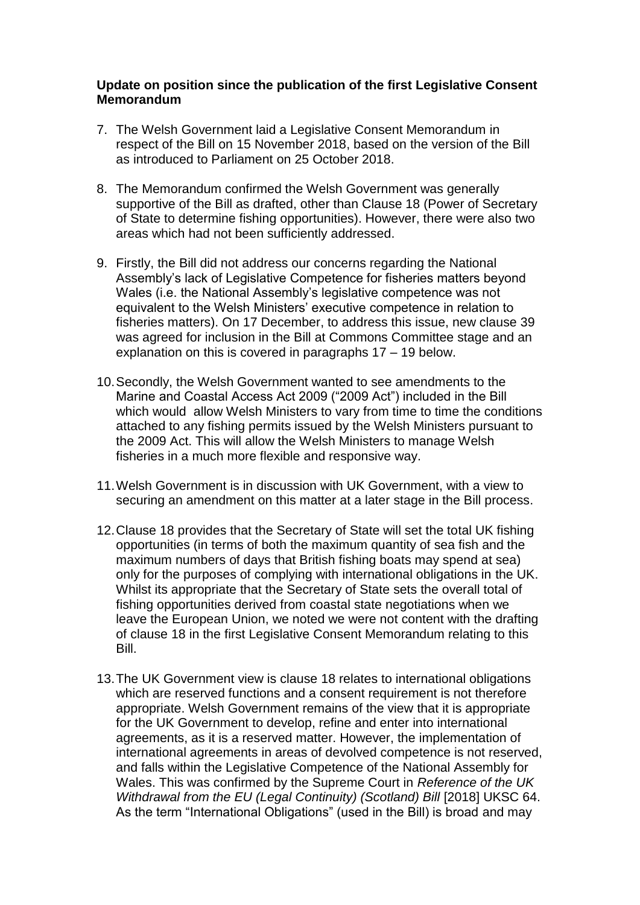### **Update on position since the publication of the first Legislative Consent Memorandum**

- 7. The Welsh Government laid a Legislative Consent Memorandum in respect of the Bill on 15 November 2018, based on the version of the Bill as introduced to Parliament on 25 October 2018.
- 8. The Memorandum confirmed the Welsh Government was generally supportive of the Bill as drafted, other than Clause 18 (Power of Secretary of State to determine fishing opportunities). However, there were also two areas which had not been sufficiently addressed.
- 9. Firstly, the Bill did not address our concerns regarding the National Assembly's lack of Legislative Competence for fisheries matters beyond Wales (i.e. the National Assembly's legislative competence was not equivalent to the Welsh Ministers' executive competence in relation to fisheries matters). On 17 December, to address this issue, new clause 39 was agreed for inclusion in the Bill at Commons Committee stage and an explanation on this is covered in paragraphs 17 – 19 below.
- 10.Secondly, the Welsh Government wanted to see amendments to the Marine and Coastal Access Act 2009 ("2009 Act") included in the Bill which would allow Welsh Ministers to vary from time to time the conditions attached to any fishing permits issued by the Welsh Ministers pursuant to the 2009 Act. This will allow the Welsh Ministers to manage Welsh fisheries in a much more flexible and responsive way.
- 11.Welsh Government is in discussion with UK Government, with a view to securing an amendment on this matter at a later stage in the Bill process.
- 12.Clause 18 provides that the Secretary of State will set the total UK fishing opportunities (in terms of both the maximum quantity of sea fish and the maximum numbers of days that British fishing boats may spend at sea) only for the purposes of complying with international obligations in the UK. Whilst its appropriate that the Secretary of State sets the overall total of fishing opportunities derived from coastal state negotiations when we leave the European Union, we noted we were not content with the drafting of clause 18 in the first Legislative Consent Memorandum relating to this Bill.
- 13.The UK Government view is clause 18 relates to international obligations which are reserved functions and a consent requirement is not therefore appropriate. Welsh Government remains of the view that it is appropriate for the UK Government to develop, refine and enter into international agreements, as it is a reserved matter. However, the implementation of international agreements in areas of devolved competence is not reserved, and falls within the Legislative Competence of the National Assembly for Wales. This was confirmed by the Supreme Court in *Reference of the UK Withdrawal from the EU (Legal Continuity) (Scotland) Bill* [2018] UKSC 64. As the term "International Obligations" (used in the Bill) is broad and may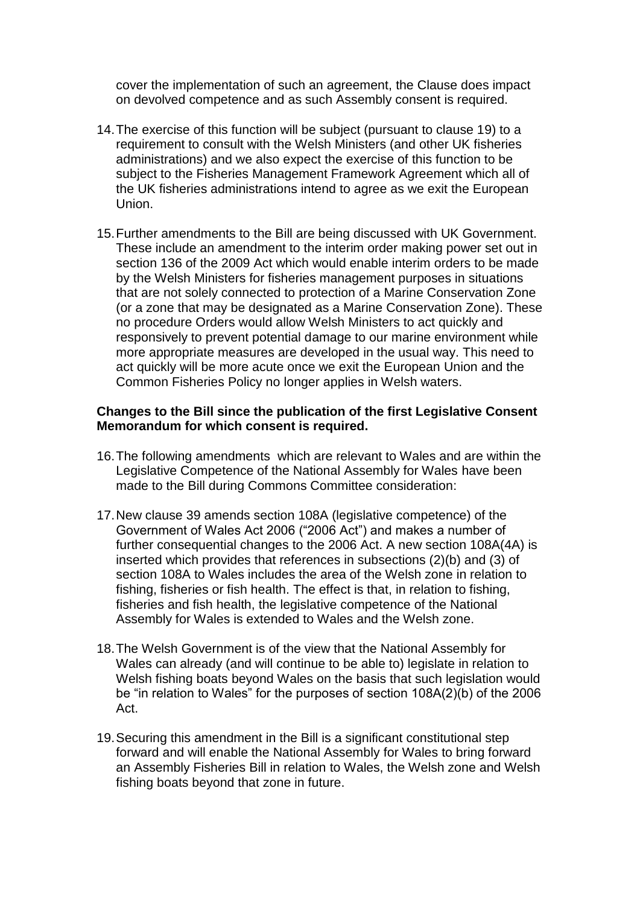cover the implementation of such an agreement, the Clause does impact on devolved competence and as such Assembly consent is required.

- 14.The exercise of this function will be subject (pursuant to clause 19) to a requirement to consult with the Welsh Ministers (and other UK fisheries administrations) and we also expect the exercise of this function to be subject to the Fisheries Management Framework Agreement which all of the UK fisheries administrations intend to agree as we exit the European Union.
- 15.Further amendments to the Bill are being discussed with UK Government. These include an amendment to the interim order making power set out in section 136 of the 2009 Act which would enable interim orders to be made by the Welsh Ministers for fisheries management purposes in situations that are not solely connected to protection of a Marine Conservation Zone (or a zone that may be designated as a Marine Conservation Zone). These no procedure Orders would allow Welsh Ministers to act quickly and responsively to prevent potential damage to our marine environment while more appropriate measures are developed in the usual way. This need to act quickly will be more acute once we exit the European Union and the Common Fisheries Policy no longer applies in Welsh waters.

#### **Changes to the Bill since the publication of the first Legislative Consent Memorandum for which consent is required.**

- 16.The following amendments which are relevant to Wales and are within the Legislative Competence of the National Assembly for Wales have been made to the Bill during Commons Committee consideration:
- 17.New clause 39 amends section 108A (legislative competence) of the Government of Wales Act 2006 ("2006 Act") and makes a number of further consequential changes to the 2006 Act. A new section 108A(4A) is inserted which provides that references in subsections (2)(b) and (3) of section 108A to Wales includes the area of the Welsh zone in relation to fishing, fisheries or fish health. The effect is that, in relation to fishing, fisheries and fish health, the legislative competence of the National Assembly for Wales is extended to Wales and the Welsh zone.
- 18.The Welsh Government is of the view that the National Assembly for Wales can already (and will continue to be able to) legislate in relation to Welsh fishing boats beyond Wales on the basis that such legislation would be "in relation to Wales" for the purposes of section 108A(2)(b) of the 2006 Act.
- 19.Securing this amendment in the Bill is a significant constitutional step forward and will enable the National Assembly for Wales to bring forward an Assembly Fisheries Bill in relation to Wales, the Welsh zone and Welsh fishing boats beyond that zone in future.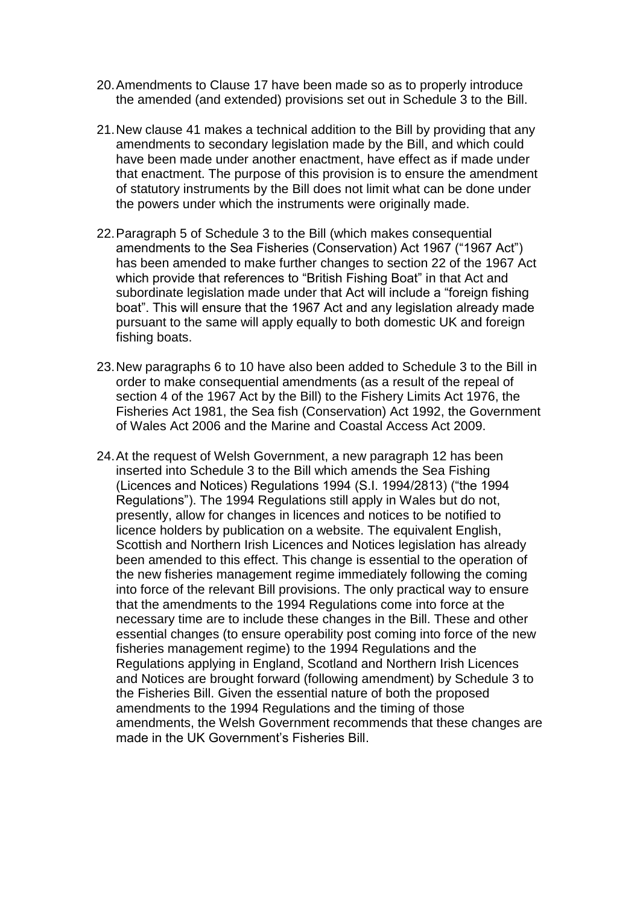- 20.Amendments to Clause 17 have been made so as to properly introduce the amended (and extended) provisions set out in Schedule 3 to the Bill.
- 21.New clause 41 makes a technical addition to the Bill by providing that any amendments to secondary legislation made by the Bill, and which could have been made under another enactment, have effect as if made under that enactment. The purpose of this provision is to ensure the amendment of statutory instruments by the Bill does not limit what can be done under the powers under which the instruments were originally made.
- 22.Paragraph 5 of Schedule 3 to the Bill (which makes consequential amendments to the Sea Fisheries (Conservation) Act 1967 ("1967 Act") has been amended to make further changes to section 22 of the 1967 Act which provide that references to "British Fishing Boat" in that Act and subordinate legislation made under that Act will include a "foreign fishing boat". This will ensure that the 1967 Act and any legislation already made pursuant to the same will apply equally to both domestic UK and foreign fishing boats.
- 23.New paragraphs 6 to 10 have also been added to Schedule 3 to the Bill in order to make consequential amendments (as a result of the repeal of section 4 of the 1967 Act by the Bill) to the Fishery Limits Act 1976, the Fisheries Act 1981, the Sea fish (Conservation) Act 1992, the Government of Wales Act 2006 and the Marine and Coastal Access Act 2009.
- 24.At the request of Welsh Government, a new paragraph 12 has been inserted into Schedule 3 to the Bill which amends the Sea Fishing (Licences and Notices) Regulations 1994 (S.I. 1994/2813) ("the 1994 Regulations"). The 1994 Regulations still apply in Wales but do not, presently, allow for changes in licences and notices to be notified to licence holders by publication on a website. The equivalent English, Scottish and Northern Irish Licences and Notices legislation has already been amended to this effect. This change is essential to the operation of the new fisheries management regime immediately following the coming into force of the relevant Bill provisions. The only practical way to ensure that the amendments to the 1994 Regulations come into force at the necessary time are to include these changes in the Bill. These and other essential changes (to ensure operability post coming into force of the new fisheries management regime) to the 1994 Regulations and the Regulations applying in England, Scotland and Northern Irish Licences and Notices are brought forward (following amendment) by Schedule 3 to the Fisheries Bill. Given the essential nature of both the proposed amendments to the 1994 Regulations and the timing of those amendments, the Welsh Government recommends that these changes are made in the UK Government's Fisheries Bill.